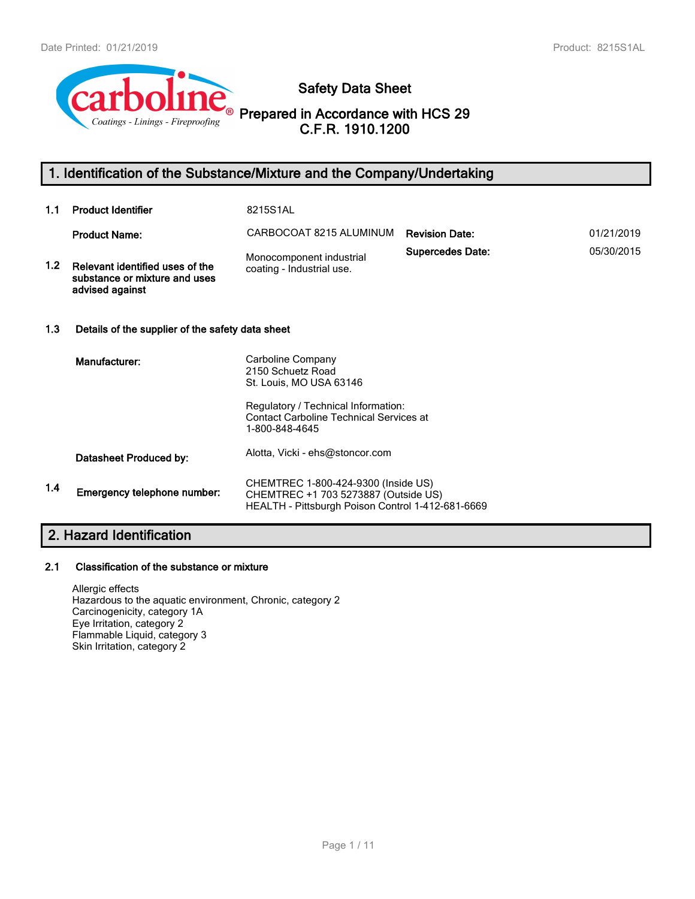

**Safety Data Sheet**

**Prepared in Accordance with HCS 29 C.F.R. 1910.1200**

# **1. Identification of the Substance/Mixture and the Company/Undertaking**

| 1.1              | <b>Product Identifier</b>                                                           | 8215S1AL                                                                                                                                                   |                         |            |  |
|------------------|-------------------------------------------------------------------------------------|------------------------------------------------------------------------------------------------------------------------------------------------------------|-------------------------|------------|--|
|                  | <b>Product Name:</b>                                                                | CARBOCOAT 8215 ALUMINUM                                                                                                                                    | <b>Revision Date:</b>   | 01/21/2019 |  |
| 1.2 <sub>1</sub> | Relevant identified uses of the<br>substance or mixture and uses<br>advised against | Monocomponent industrial<br>coating - Industrial use.                                                                                                      | <b>Supercedes Date:</b> | 05/30/2015 |  |
| 1.3              | Details of the supplier of the safety data sheet                                    |                                                                                                                                                            |                         |            |  |
|                  | Manufacturer:                                                                       | Carboline Company<br>2150 Schuetz Road<br>St. Louis, MO USA 63146<br>Regulatory / Technical Information:<br><b>Contact Carboline Technical Services at</b> |                         |            |  |
|                  |                                                                                     | 1-800-848-4645                                                                                                                                             |                         |            |  |
|                  | Datasheet Produced by:                                                              | Alotta, Vicki - ehs@stoncor.com                                                                                                                            |                         |            |  |
| 1.4              | Emergency telephone number:                                                         | CHEMTREC 1-800-424-9300 (Inside US)<br>CHEMTREC +1 703 5273887 (Outside US)<br>HEALTH - Pittsburgh Poison Control 1-412-681-6669                           |                         |            |  |

# **2. Hazard Identification**

# **2.1 Classification of the substance or mixture**

Allergic effects Hazardous to the aquatic environment, Chronic, category 2 Carcinogenicity, category 1A Eye Irritation, category 2 Flammable Liquid, category 3 Skin Irritation, category 2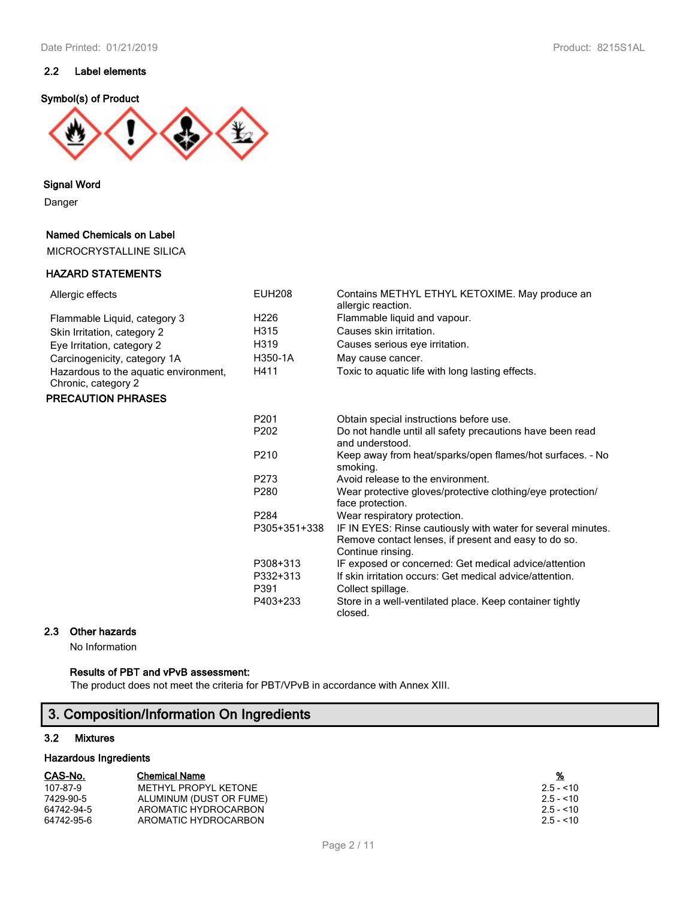# **2.2 Label elements**

### **Symbol(s) of Product**



**Signal Word**

Danger

### **Named Chemicals on Label**

MICROCRYSTALLINE SILICA

### **HAZARD STATEMENTS**

| Allergic effects                                             | <b>EUH208</b>    | Contains METHYL ETHYL KETOXIME. May produce an<br>allergic reaction.                                                                      |
|--------------------------------------------------------------|------------------|-------------------------------------------------------------------------------------------------------------------------------------------|
| Flammable Liquid, category 3                                 | H <sub>226</sub> | Flammable liquid and vapour.                                                                                                              |
| Skin Irritation, category 2                                  | H315             | Causes skin irritation.                                                                                                                   |
| Eye Irritation, category 2                                   | H319             | Causes serious eye irritation.                                                                                                            |
| Carcinogenicity, category 1A                                 | H350-1A          | May cause cancer.                                                                                                                         |
| Hazardous to the aquatic environment,<br>Chronic, category 2 | H411             | Toxic to aquatic life with long lasting effects.                                                                                          |
| <b>PRECAUTION PHRASES</b>                                    |                  |                                                                                                                                           |
|                                                              | P <sub>201</sub> | Obtain special instructions before use.                                                                                                   |
|                                                              | P <sub>202</sub> | Do not handle until all safety precautions have been read<br>and understood.                                                              |
|                                                              | P <sub>210</sub> | Keep away from heat/sparks/open flames/hot surfaces. - No<br>smoking.                                                                     |
|                                                              | P <sub>273</sub> | Avoid release to the environment.                                                                                                         |
|                                                              | P280             | Wear protective gloves/protective clothing/eye protection/<br>face protection.                                                            |
|                                                              | P <sub>284</sub> | Wear respiratory protection.                                                                                                              |
|                                                              | P305+351+338     | IF IN EYES: Rinse cautiously with water for several minutes.<br>Remove contact lenses, if present and easy to do so.<br>Continue rinsing. |
|                                                              | P308+313         | IF exposed or concerned: Get medical advice/attention                                                                                     |
|                                                              | P332+313         | If skin irritation occurs: Get medical advice/attention.                                                                                  |
|                                                              | P391             | Collect spillage.                                                                                                                         |
|                                                              | P403+233         | Store in a well-ventilated place. Keep container tightly<br>closed.                                                                       |

# **2.3 Other hazards**

No Information

# **Results of PBT and vPvB assessment:**

The product does not meet the criteria for PBT/VPvB in accordance with Annex XIII.

# **3. Composition/Information On Ingredients**

### **3.2 Mixtures**

#### **Hazardous Ingredients**

| CAS-No. | <b>Chemical Name</b> |  | % |
|---------|----------------------|--|---|
|---------|----------------------|--|---|

| 107-87-9   | METHYL PROPYL KETONE    | $2.5 - 10$ |
|------------|-------------------------|------------|
| 7429-90-5  | ALUMINUM (DUST OR FUME) | $2.5 - 10$ |
| 64742-94-5 | AROMATIC HYDROCARBON    | $2.5 - 10$ |
| 64742-95-6 | AROMATIC HYDROCARBON    | $2.5 - 10$ |

| %          |  |  |  |  |  |  |
|------------|--|--|--|--|--|--|
| $2.5 - 10$ |  |  |  |  |  |  |
| $2.5 - 10$ |  |  |  |  |  |  |
| $2.5 - 10$ |  |  |  |  |  |  |
| $2.5 - 10$ |  |  |  |  |  |  |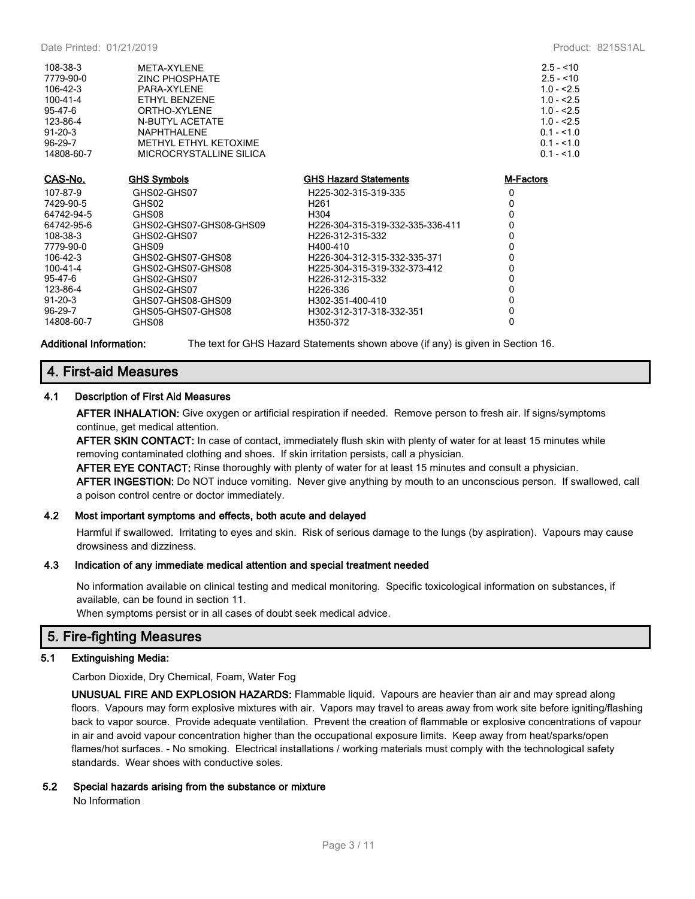| 108-38-3<br>7779-90-0<br>$106 - 42 - 3$<br>$100 - 41 - 4$<br>95-47-6<br>123-86-4<br>$91 - 20 - 3$<br>96-29-7<br>14808-60-7 | <b>META-XYI FNF</b><br><b>ZINC PHOSPHATE</b><br>PARA-XYLENE<br>ETHYL BENZENE<br>ORTHO-XYLENE<br>N-BUTYL ACETATE<br><b>NAPHTHALENE</b><br>METHYL ETHYL KETOXIME<br>MICROCRYSTALLINE SILICA |                                  | $2.5 - 10$<br>$2.5 - 10$<br>$1.0 - 2.5$<br>$1.0 - 2.5$<br>$1.0 - 2.5$<br>$1.0 - 2.5$<br>$0.1 - 1.0$<br>$0.1 - 1.0$<br>$0.1 - 1.0$ |
|----------------------------------------------------------------------------------------------------------------------------|-------------------------------------------------------------------------------------------------------------------------------------------------------------------------------------------|----------------------------------|-----------------------------------------------------------------------------------------------------------------------------------|
| CAS-No.                                                                                                                    | <b>GHS Symbols</b>                                                                                                                                                                        | <b>GHS Hazard Statements</b>     | <b>M-Factors</b>                                                                                                                  |
| 107-87-9                                                                                                                   | GHS02-GHS07                                                                                                                                                                               | H225-302-315-319-335             | $\mathbf{0}$                                                                                                                      |
| 7429-90-5                                                                                                                  | GHS02                                                                                                                                                                                     | H <sub>261</sub>                 | $\mathbf{0}$                                                                                                                      |
| 64742-94-5                                                                                                                 | GHS08                                                                                                                                                                                     | H304                             | $\Omega$                                                                                                                          |
| 64742-95-6                                                                                                                 | GHS02-GHS07-GHS08-GHS09                                                                                                                                                                   | H226-304-315-319-332-335-336-411 | 0                                                                                                                                 |
| 108-38-3                                                                                                                   | GHS02-GHS07                                                                                                                                                                               | H226-312-315-332                 | 0                                                                                                                                 |
| 7779-90-0                                                                                                                  | GHS09                                                                                                                                                                                     | H400-410                         | 0                                                                                                                                 |
| $106 - 42 - 3$                                                                                                             | GHS02-GHS07-GHS08                                                                                                                                                                         | H226-304-312-315-332-335-371     | $\mathbf{0}$                                                                                                                      |
| $100 - 41 - 4$                                                                                                             | GHS02-GHS07-GHS08                                                                                                                                                                         | H225-304-315-319-332-373-412     | 0                                                                                                                                 |
| 95-47-6                                                                                                                    | GHS02-GHS07                                                                                                                                                                               | H226-312-315-332                 | 0                                                                                                                                 |
| 123-86-4                                                                                                                   | GHS02-GHS07                                                                                                                                                                               | H <sub>226</sub> -336            | 0                                                                                                                                 |
| $91 - 20 - 3$                                                                                                              | GHS07-GHS08-GHS09                                                                                                                                                                         | H302-351-400-410                 | 0                                                                                                                                 |
| $96-29-7$                                                                                                                  | GHS05-GHS07-GHS08                                                                                                                                                                         | H302-312-317-318-332-351         | 0                                                                                                                                 |
| 14808-60-7                                                                                                                 | GHS08                                                                                                                                                                                     | H350-372                         | 0                                                                                                                                 |

**Additional Information:** The text for GHS Hazard Statements shown above (if any) is given in Section 16.

# **4. First-aid Measures**

### **4.1 Description of First Aid Measures**

**AFTER INHALATION:** Give oxygen or artificial respiration if needed. Remove person to fresh air. If signs/symptoms continue, get medical attention.

**AFTER SKIN CONTACT:** In case of contact, immediately flush skin with plenty of water for at least 15 minutes while removing contaminated clothing and shoes. If skin irritation persists, call a physician.

**AFTER EYE CONTACT:** Rinse thoroughly with plenty of water for at least 15 minutes and consult a physician. **AFTER INGESTION:** Do NOT induce vomiting. Never give anything by mouth to an unconscious person. If swallowed, call a poison control centre or doctor immediately.

#### **4.2 Most important symptoms and effects, both acute and delayed**

Harmful if swallowed. Irritating to eyes and skin. Risk of serious damage to the lungs (by aspiration). Vapours may cause drowsiness and dizziness.

#### **4.3 Indication of any immediate medical attention and special treatment needed**

No information available on clinical testing and medical monitoring. Specific toxicological information on substances, if available, can be found in section 11.

When symptoms persist or in all cases of doubt seek medical advice.

### **5. Fire-fighting Measures**

#### **5.1 Extinguishing Media:**

Carbon Dioxide, Dry Chemical, Foam, Water Fog

**UNUSUAL FIRE AND EXPLOSION HAZARDS:** Flammable liquid. Vapours are heavier than air and may spread along floors. Vapours may form explosive mixtures with air. Vapors may travel to areas away from work site before igniting/flashing back to vapor source. Provide adequate ventilation. Prevent the creation of flammable or explosive concentrations of vapour in air and avoid vapour concentration higher than the occupational exposure limits. Keep away from heat/sparks/open flames/hot surfaces. - No smoking. Electrical installations / working materials must comply with the technological safety standards. Wear shoes with conductive soles.

#### **5.2 Special hazards arising from the substance or mixture**

No Information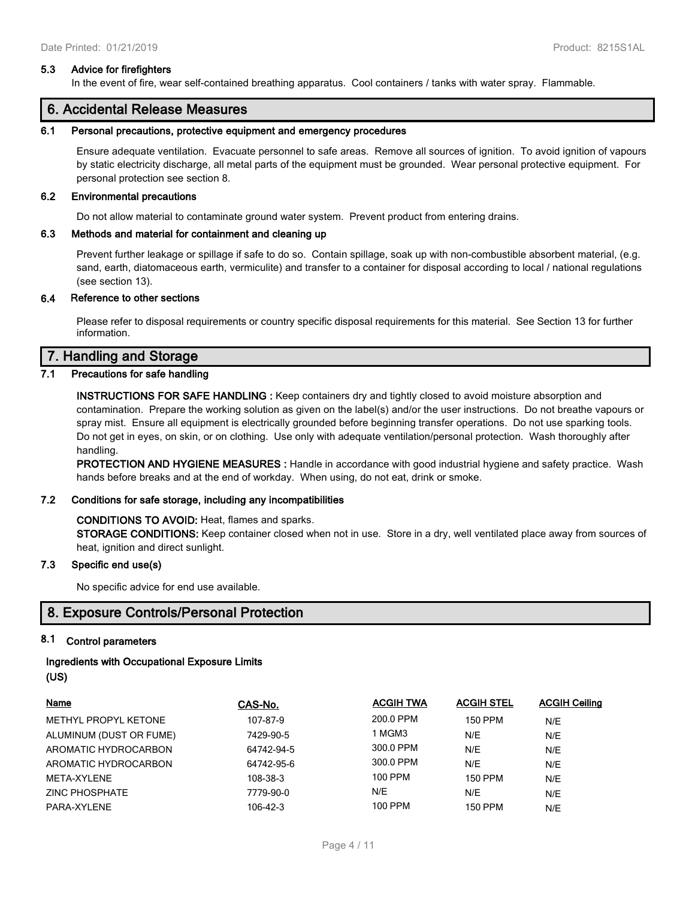#### **5.3 Advice for firefighters**

In the event of fire, wear self-contained breathing apparatus. Cool containers / tanks with water spray. Flammable.

# **6. Accidental Release Measures**

#### **6.1 Personal precautions, protective equipment and emergency procedures**

Ensure adequate ventilation. Evacuate personnel to safe areas. Remove all sources of ignition. To avoid ignition of vapours by static electricity discharge, all metal parts of the equipment must be grounded. Wear personal protective equipment. For personal protection see section 8.

#### **6.2 Environmental precautions**

Do not allow material to contaminate ground water system. Prevent product from entering drains.

#### **6.3 Methods and material for containment and cleaning up**

Prevent further leakage or spillage if safe to do so. Contain spillage, soak up with non-combustible absorbent material, (e.g. sand, earth, diatomaceous earth, vermiculite) and transfer to a container for disposal according to local / national regulations (see section 13).

#### **6.4 Reference to other sections**

Please refer to disposal requirements or country specific disposal requirements for this material. See Section 13 for further information.

# **7. Handling and Storage**

# **7.1 Precautions for safe handling**

**INSTRUCTIONS FOR SAFE HANDLING :** Keep containers dry and tightly closed to avoid moisture absorption and contamination. Prepare the working solution as given on the label(s) and/or the user instructions. Do not breathe vapours or spray mist. Ensure all equipment is electrically grounded before beginning transfer operations. Do not use sparking tools. Do not get in eyes, on skin, or on clothing. Use only with adequate ventilation/personal protection. Wash thoroughly after handling.

**PROTECTION AND HYGIENE MEASURES :** Handle in accordance with good industrial hygiene and safety practice. Wash hands before breaks and at the end of workday. When using, do not eat, drink or smoke.

#### **7.2 Conditions for safe storage, including any incompatibilities**

#### **CONDITIONS TO AVOID:** Heat, flames and sparks.

**STORAGE CONDITIONS:** Keep container closed when not in use. Store in a dry, well ventilated place away from sources of heat, ignition and direct sunlight.

#### **7.3 Specific end use(s)**

No specific advice for end use available.

# **8. Exposure Controls/Personal Protection**

### **8.1 Control parameters**

### **Ingredients with Occupational Exposure Limits (US)**

| <b>Name</b>             | CAS-No.    | <b>ACGIH TWA</b> | <b>ACGIH STEL</b> | <b>ACGIH Ceiling</b> |
|-------------------------|------------|------------------|-------------------|----------------------|
| METHYL PROPYL KETONE    | 107-87-9   | 200.0 PPM        | <b>150 PPM</b>    | N/E                  |
| ALUMINUM (DUST OR FUME) | 7429-90-5  | 1 MGM3           | N/E               | N/E                  |
| AROMATIC HYDROCARBON    | 64742-94-5 | 300.0 PPM        | N/E               | N/E                  |
| AROMATIC HYDROCARBON    | 64742-95-6 | 300.0 PPM        | N/E               | N/E                  |
| META-XYLENE             | 108-38-3   | 100 PPM          | 150 PPM           | N/E                  |
| ZINC PHOSPHATE          | 7779-90-0  | N/E              | N/E               | N/E                  |
| PARA-XYLENE             | 106-42-3   | 100 PPM          | 150 PPM           | N/E                  |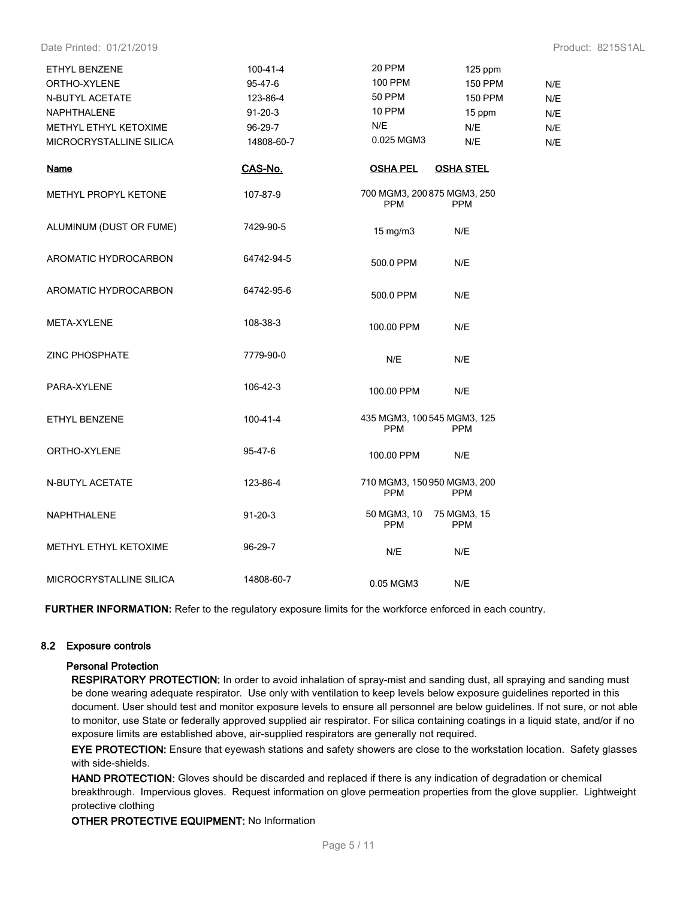Date Printed: 01/21/2019 Product: 8215S1AL

| ETHYL BENZENE<br>ORTHO-XYLENE<br>N-BUTYL ACETATE<br>NAPHTHALENE<br>METHYL ETHYL KETOXIME<br>MICROCRYSTALLINE SILICA | $100 - 41 - 4$<br>95-47-6<br>123-86-4<br>$91 - 20 - 3$<br>96-29-7<br>14808-60-7 | 20 PPM<br>100 PPM<br><b>50 PPM</b><br>10 PPM<br>N/E<br>0.025 MGM3 | 125 ppm<br><b>150 PPM</b><br><b>150 PPM</b><br>15 ppm<br>N/E<br>N/E | N/E<br>N/E<br>N/E<br>N/E<br>N/E |
|---------------------------------------------------------------------------------------------------------------------|---------------------------------------------------------------------------------|-------------------------------------------------------------------|---------------------------------------------------------------------|---------------------------------|
| <b>Name</b>                                                                                                         | CAS-No.                                                                         | <b>OSHA PEL</b>                                                   | <b>OSHA STEL</b>                                                    |                                 |
| METHYL PROPYL KETONE                                                                                                | 107-87-9                                                                        | 700 MGM3, 200 875 MGM3, 250<br><b>PPM</b>                         | <b>PPM</b>                                                          |                                 |
| ALUMINUM (DUST OR FUME)                                                                                             | 7429-90-5                                                                       | $15 \text{ mg/m}$                                                 | N/E                                                                 |                                 |
| AROMATIC HYDROCARBON                                                                                                | 64742-94-5                                                                      | 500.0 PPM                                                         | N/E                                                                 |                                 |
| AROMATIC HYDROCARBON                                                                                                | 64742-95-6                                                                      | 500.0 PPM                                                         | N/E                                                                 |                                 |
| META-XYLENE                                                                                                         | 108-38-3                                                                        | 100.00 PPM                                                        | N/E                                                                 |                                 |
| <b>ZINC PHOSPHATE</b>                                                                                               | 7779-90-0                                                                       | N/E                                                               | N/E                                                                 |                                 |
| PARA-XYLENE                                                                                                         | 106-42-3                                                                        | 100.00 PPM                                                        | N/E                                                                 |                                 |
| ETHYL BENZENE                                                                                                       | 100-41-4                                                                        | 435 MGM3, 100 545 MGM3, 125<br><b>PPM</b>                         | <b>PPM</b>                                                          |                                 |
| ORTHO-XYLENE                                                                                                        | 95-47-6                                                                         | 100.00 PPM                                                        | N/E                                                                 |                                 |
| N-BUTYL ACETATE                                                                                                     | 123-86-4                                                                        | 710 MGM3, 150 950 MGM3, 200<br><b>PPM</b>                         | <b>PPM</b>                                                          |                                 |
| NAPHTHALENE                                                                                                         | $91 - 20 - 3$                                                                   | 50 MGM3, 10<br><b>PPM</b>                                         | 75 MGM3, 15<br><b>PPM</b>                                           |                                 |
| METHYL ETHYL KETOXIME                                                                                               | 96-29-7                                                                         | N/E                                                               | N/E                                                                 |                                 |
| MICROCRYSTALLINE SILICA                                                                                             | 14808-60-7                                                                      | 0.05 MGM3                                                         | N/E                                                                 |                                 |

**FURTHER INFORMATION:** Refer to the regulatory exposure limits for the workforce enforced in each country.

### **8.2 Exposure controls**

#### **Personal Protection**

**RESPIRATORY PROTECTION:** In order to avoid inhalation of spray-mist and sanding dust, all spraying and sanding must be done wearing adequate respirator. Use only with ventilation to keep levels below exposure guidelines reported in this document. User should test and monitor exposure levels to ensure all personnel are below guidelines. If not sure, or not able to monitor, use State or federally approved supplied air respirator. For silica containing coatings in a liquid state, and/or if no exposure limits are established above, air-supplied respirators are generally not required.

**EYE PROTECTION:** Ensure that eyewash stations and safety showers are close to the workstation location. Safety glasses with side-shields.

**HAND PROTECTION:** Gloves should be discarded and replaced if there is any indication of degradation or chemical breakthrough. Impervious gloves. Request information on glove permeation properties from the glove supplier. Lightweight protective clothing

**OTHER PROTECTIVE EQUIPMENT:** No Information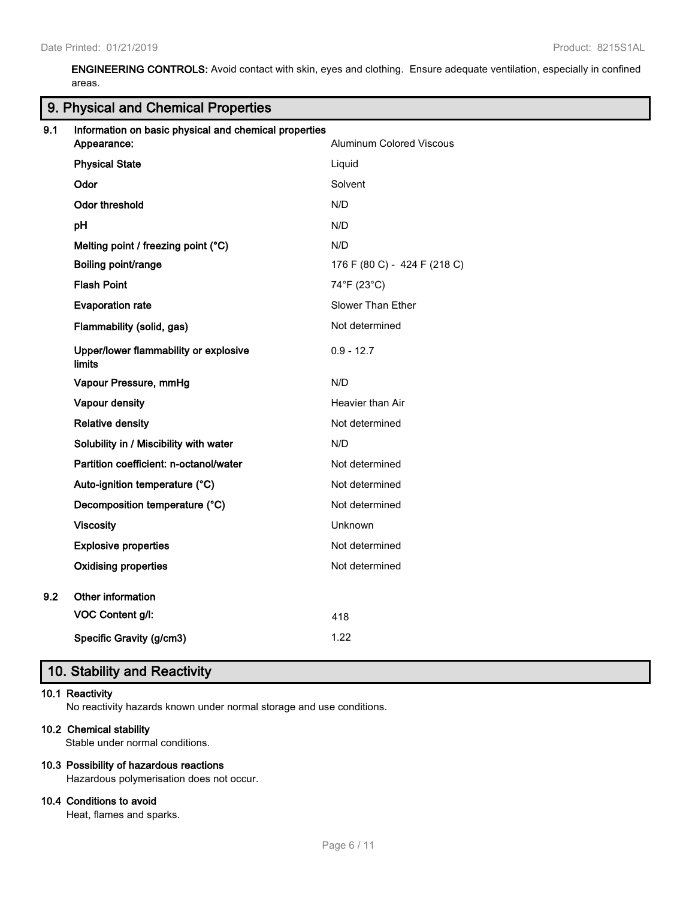**ENGINEERING CONTROLS:** Avoid contact with skin, eyes and clothing. Ensure adequate ventilation, especially in confined areas.

# **9. Physical and Chemical Properties**

| 9.1 | Information on basic physical and chemical properties<br>Appearance: | <b>Aluminum Colored Viscous</b> |
|-----|----------------------------------------------------------------------|---------------------------------|
|     | <b>Physical State</b>                                                | Liquid                          |
|     | Odor                                                                 | Solvent                         |
|     | Odor threshold                                                       | N/D                             |
|     | pH                                                                   | N/D                             |
|     | Melting point / freezing point (°C)                                  | N/D                             |
|     | Boiling point/range                                                  | 176 F (80 C) - 424 F (218 C)    |
|     | <b>Flash Point</b>                                                   | 74°F (23°C)                     |
|     | <b>Evaporation rate</b>                                              | Slower Than Ether               |
|     | Flammability (solid, gas)                                            | Not determined                  |
|     | Upper/lower flammability or explosive<br><b>limits</b>               | $0.9 - 12.7$                    |
|     | Vapour Pressure, mmHg                                                | N/D                             |
|     | Vapour density                                                       | Heavier than Air                |
|     | <b>Relative density</b>                                              | Not determined                  |
|     | Solubility in / Miscibility with water                               | N/D                             |
|     | Partition coefficient: n-octanol/water                               | Not determined                  |
|     | Auto-ignition temperature (°C)                                       | Not determined                  |
|     | Decomposition temperature (°C)                                       | Not determined                  |
|     | <b>Viscosity</b>                                                     | Unknown                         |
|     | <b>Explosive properties</b>                                          | Not determined                  |
|     | <b>Oxidising properties</b>                                          | Not determined                  |
| 9.2 | Other information                                                    |                                 |
|     | VOC Content g/l:                                                     | 418                             |
|     | Specific Gravity (g/cm3)                                             | 1.22                            |
|     |                                                                      |                                 |

# **10. Stability and Reactivity**

### **10.1 Reactivity**

No reactivity hazards known under normal storage and use conditions.

# **10.2 Chemical stability**

Stable under normal conditions.

### **10.3 Possibility of hazardous reactions**

Hazardous polymerisation does not occur.

### **10.4 Conditions to avoid**

Heat, flames and sparks.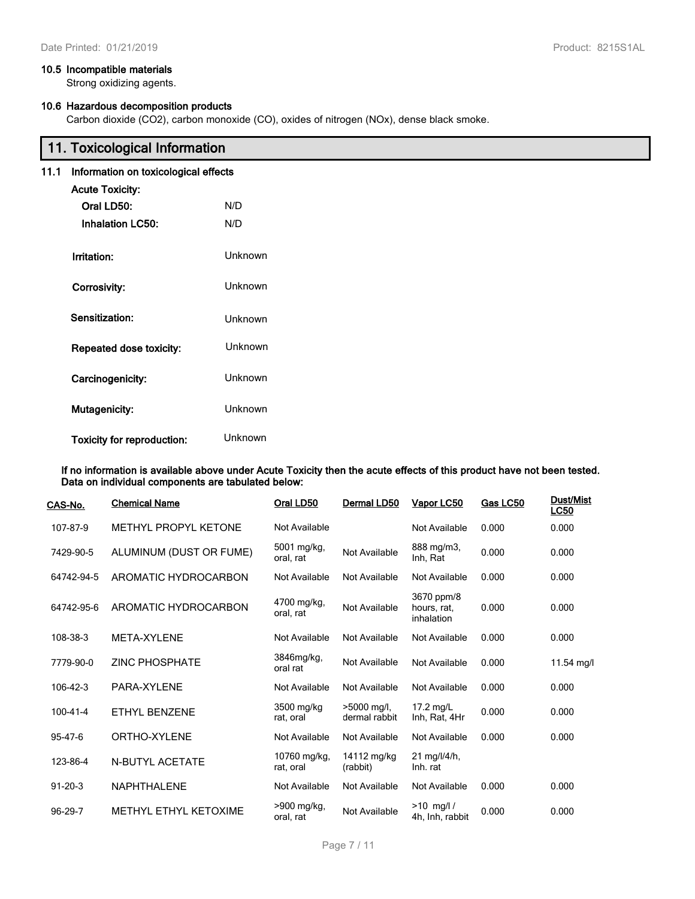### **10.5 Incompatible materials**

Strong oxidizing agents.

# **10.6 Hazardous decomposition products**

Carbon dioxide (CO2), carbon monoxide (CO), oxides of nitrogen (NOx), dense black smoke.

|      | 11. Toxicological Information        |                |
|------|--------------------------------------|----------------|
| 11.1 | Information on toxicological effects |                |
|      | <b>Acute Toxicity:</b>               |                |
|      | Oral LD50:                           | N/D            |
|      | <b>Inhalation LC50:</b>              | N/D            |
|      | Irritation:                          | <b>Unknown</b> |
|      | Corrosivity:                         | <b>Unknown</b> |
|      | Sensitization:                       | <b>Unknown</b> |
|      | Repeated dose toxicity:              | <b>Unknown</b> |
|      | Carcinogenicity:                     | <b>Unknown</b> |
|      | Mutagenicity:                        | Unknown        |
|      | <b>Toxicity for reproduction:</b>    | Unknown        |

#### **If no information is available above under Acute Toxicity then the acute effects of this product have not been tested. Data on individual components are tabulated below:**

| CAS-No.        | <b>Chemical Name</b>        | Oral LD50                 | Dermal LD50                  | Vapor LC50                              | Gas LC50 | <b>Dust/Mist</b><br><b>LC50</b> |
|----------------|-----------------------------|---------------------------|------------------------------|-----------------------------------------|----------|---------------------------------|
| 107-87-9       | <b>METHYL PROPYL KETONE</b> | Not Available             |                              | Not Available                           | 0.000    | 0.000                           |
| 7429-90-5      | ALUMINUM (DUST OR FUME)     | 5001 mg/kg,<br>oral, rat  | Not Available                | 888 mg/m3,<br>Inh, Rat                  | 0.000    | 0.000                           |
| 64742-94-5     | AROMATIC HYDROCARBON        | Not Available             | Not Available                | Not Available                           | 0.000    | 0.000                           |
| 64742-95-6     | AROMATIC HYDROCARBON        | 4700 mg/kg,<br>oral, rat  | Not Available                | 3670 ppm/8<br>hours, rat,<br>inhalation | 0.000    | 0.000                           |
| 108-38-3       | META-XYLENE                 | Not Available             | Not Available                | Not Available                           | 0.000    | 0.000                           |
| 7779-90-0      | <b>ZINC PHOSPHATE</b>       | 3846mg/kg,<br>oral rat    | Not Available                | Not Available                           | 0.000    | 11.54 mg/l                      |
| 106-42-3       | PARA-XYLENE                 | Not Available             | Not Available                | Not Available                           | 0.000    | 0.000                           |
| $100 - 41 - 4$ | ETHYL BENZENE               | 3500 mg/kg<br>rat, oral   | >5000 mg/l,<br>dermal rabbit | 17.2 mg/L<br>Inh, Rat, 4Hr              | 0.000    | 0.000                           |
| 95-47-6        | ORTHO-XYLENE                | Not Available             | Not Available                | Not Available                           | 0.000    | 0.000                           |
| 123-86-4       | N-BUTYL ACETATE             | 10760 mg/kg,<br>rat, oral | 14112 mg/kg<br>(rabbit)      | $21$ mg/l/4/h,<br>Inh. rat              |          |                                 |
| $91 - 20 - 3$  | <b>NAPHTHALENE</b>          | Not Available             | Not Available                | Not Available                           | 0.000    | 0.000                           |
| 96-29-7        | METHYL ETHYL KETOXIME       | >900 mg/kg,<br>oral, rat  | Not Available                | $>10$ mg/l/<br>4h, Inh, rabbit          | 0.000    | 0.000                           |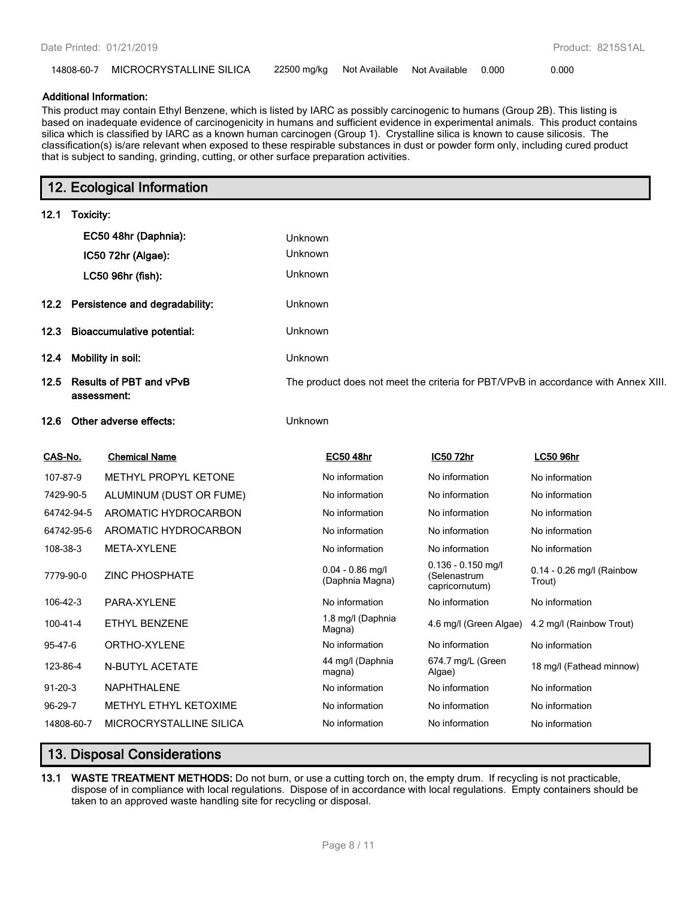| 14808-60-7 MICROCRYSTALLINE SILICA |  | 22500 mg/kg Not Available Not Available 0.000 |  |  | 0.000 |
|------------------------------------|--|-----------------------------------------------|--|--|-------|
|------------------------------------|--|-----------------------------------------------|--|--|-------|

#### **Additional Information:**

This product may contain Ethyl Benzene, which is listed by IARC as possibly carcinogenic to humans (Group 2B). This listing is based on inadequate evidence of carcinogenicity in humans and sufficient evidence in experimental animals. This product contains silica which is classified by IARC as a known human carcinogen (Group 1). Crystalline silica is known to cause silicosis. The classification(s) is/are relevant when exposed to these respirable substances in dust or powder form only, including cured product that is subject to sanding, grinding, cutting, or other surface preparation activities.

|          | 12. Ecological Information                  |                  |                  |                                                                                    |
|----------|---------------------------------------------|------------------|------------------|------------------------------------------------------------------------------------|
| 12.1     | Toxicity:                                   |                  |                  |                                                                                    |
|          | EC50 48hr (Daphnia):                        | <b>Unknown</b>   |                  |                                                                                    |
|          | IC50 72hr (Algae):                          | <b>Unknown</b>   |                  |                                                                                    |
|          | LC50 96hr (fish):                           | <b>Unknown</b>   |                  |                                                                                    |
|          | 12.2 Persistence and degradability:         | <b>Unknown</b>   |                  |                                                                                    |
|          | 12.3 Bioaccumulative potential:             | <b>Unknown</b>   |                  |                                                                                    |
| 12.4     | Mobility in soil:                           | <b>Unknown</b>   |                  |                                                                                    |
|          | 12.5 Results of PBT and vPvB<br>assessment: |                  |                  | The product does not meet the criteria for PBT/VPvB in accordance with Annex XIII. |
|          | 12.6 Other adverse effects:                 | Unknown          |                  |                                                                                    |
| CAS-No.  | <b>Chemical Name</b>                        | <b>EC50 48hr</b> | <u>IC50 72hr</u> | <b>LC50 96hr</b>                                                                   |
| 107-87-9 | METHVI PRODVI KETONE                        | No information   | No information   | No information                                                                     |

| 107-87-9      | METHYL PROPYL KETONE         | No information                        | No information                                         | No information                        |
|---------------|------------------------------|---------------------------------------|--------------------------------------------------------|---------------------------------------|
| 7429-90-5     | ALUMINUM (DUST OR FUME)      | No information                        | No information                                         | No information                        |
| 64742-94-5    | AROMATIC HYDROCARBON         | No information                        | No information                                         | No information                        |
| 64742-95-6    | AROMATIC HYDROCARBON         | No information                        | No information                                         | No information                        |
| 108-38-3      | META-XYLENE                  | No information                        | No information                                         | No information                        |
| 7779-90-0     | <b>ZINC PHOSPHATE</b>        | $0.04 - 0.86$ mg/l<br>(Daphnia Magna) | $0.136 - 0.150$ mg/l<br>(Selenastrum<br>capricornutum) | $0.14 - 0.26$ mg/l (Rainbow<br>Trout) |
| 106-42-3      | PARA-XYLENE                  | No information                        | No information                                         | No information                        |
| 100-41-4      | ETHYL BENZENE                | 1.8 mg/l (Daphnia<br>Magna)           | 4.6 mg/l (Green Algae)                                 | 4.2 mg/l (Rainbow Trout)              |
| 95-47-6       | ORTHO-XYLENE                 | No information                        | No information                                         | No information                        |
| 123-86-4      | N-BUTYL ACETATE              | 44 mg/l (Daphnia<br>magna)            | 674.7 mg/L (Green<br>Algae)                            | 18 mg/l (Fathead minnow)              |
| $91 - 20 - 3$ | <b>NAPHTHALENE</b>           | No information                        | No information                                         | No information                        |
| 96-29-7       | <b>METHYL ETHYL KETOXIME</b> | No information                        | No information                                         | No information                        |
| 14808-60-7    | MICROCRYSTALLINE SILICA      | No information                        | No information                                         | No information                        |

# **13. Disposal Considerations**

**13.1 WASTE TREATMENT METHODS:** Do not burn, or use a cutting torch on, the empty drum. If recycling is not practicable, dispose of in compliance with local regulations. Dispose of in accordance with local regulations. Empty containers should be taken to an approved waste handling site for recycling or disposal.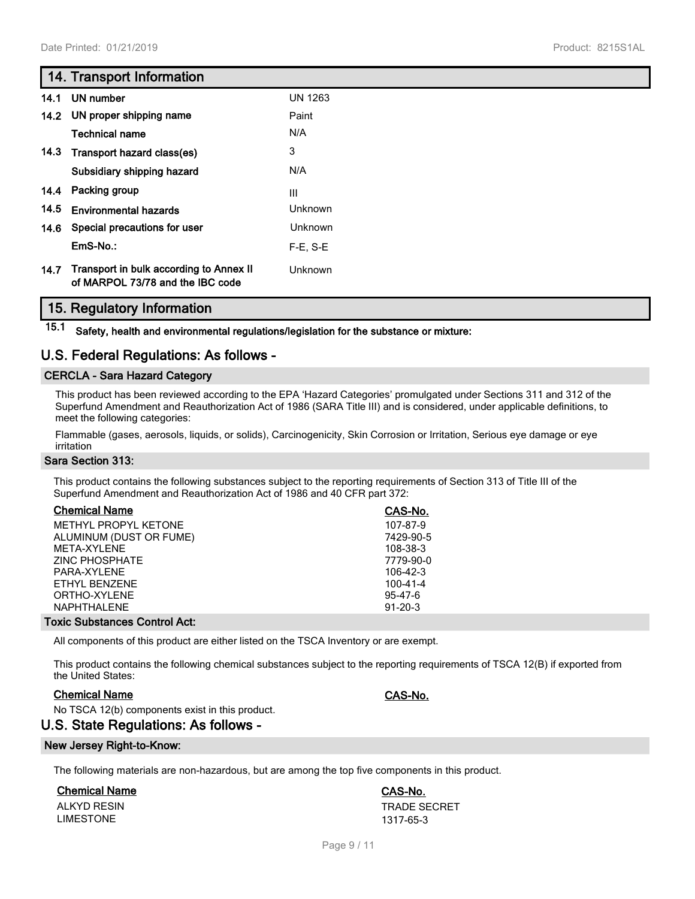# **14. Transport Information**

| 14.1 | UN number                                                                   | <b>UN 1263</b> |
|------|-----------------------------------------------------------------------------|----------------|
|      | 14.2 UN proper shipping name                                                | Paint          |
|      | <b>Technical name</b>                                                       | N/A            |
| 14.3 | Transport hazard class(es)                                                  | 3              |
|      | Subsidiary shipping hazard                                                  | N/A            |
|      | 14.4 Packing group                                                          | III            |
| 14.5 | <b>Environmental hazards</b>                                                | <b>Unknown</b> |
| 14.6 | Special precautions for user                                                | <b>Unknown</b> |
|      | EmS-No.:                                                                    | $F-E. S-E$     |
| 14.7 | Transport in bulk according to Annex II<br>of MARPOL 73/78 and the IBC code | Unknown        |

# **15. Regulatory Information**

**15.1 Safety, health and environmental regulations/legislation for the substance or mixture:**

# **U.S. Federal Regulations: As follows -**

### **CERCLA - Sara Hazard Category**

This product has been reviewed according to the EPA 'Hazard Categories' promulgated under Sections 311 and 312 of the Superfund Amendment and Reauthorization Act of 1986 (SARA Title III) and is considered, under applicable definitions, to meet the following categories:

Flammable (gases, aerosols, liquids, or solids), Carcinogenicity, Skin Corrosion or Irritation, Serious eye damage or eye irritation

### **Sara Section 313:**

This product contains the following substances subject to the reporting requirements of Section 313 of Title III of the Superfund Amendment and Reauthorization Act of 1986 and 40 CFR part 372:

| <b>Chemical Name</b>                 | CAS-No.       |
|--------------------------------------|---------------|
| METHYL PROPYL KETONE                 | 107-87-9      |
| ALUMINUM (DUST OR FUME)              | 7429-90-5     |
| MFTA-XYI FNF                         | 108-38-3      |
| <b>ZINC PHOSPHATE</b>                | 7779-90-0     |
| PARA-XYLENE                          | 106-42-3      |
| ETHYL BENZENE                        | 100-41-4      |
| ORTHO-XYLENE                         | 95-47-6       |
| NAPHTHALENE                          | $91 - 20 - 3$ |
| <b>Foxic Substances Control Act:</b> |               |

All components of this product are either listed on the TSCA Inventory or are exempt.

This product contains the following chemical substances subject to the reporting requirements of TSCA 12(B) if exported from the United States:

### **Chemical Name CAS-No.**

No TSCA 12(b) components exist in this product.

# **U.S. State Regulations: As follows -**

#### **New Jersey Right-to-Know:**

The following materials are non-hazardous, but are among the top five components in this product.

### **Chemical Name CAS-No.**

LIMESTONE 1317-65-3

ALKYD RESIN TRADE SECRET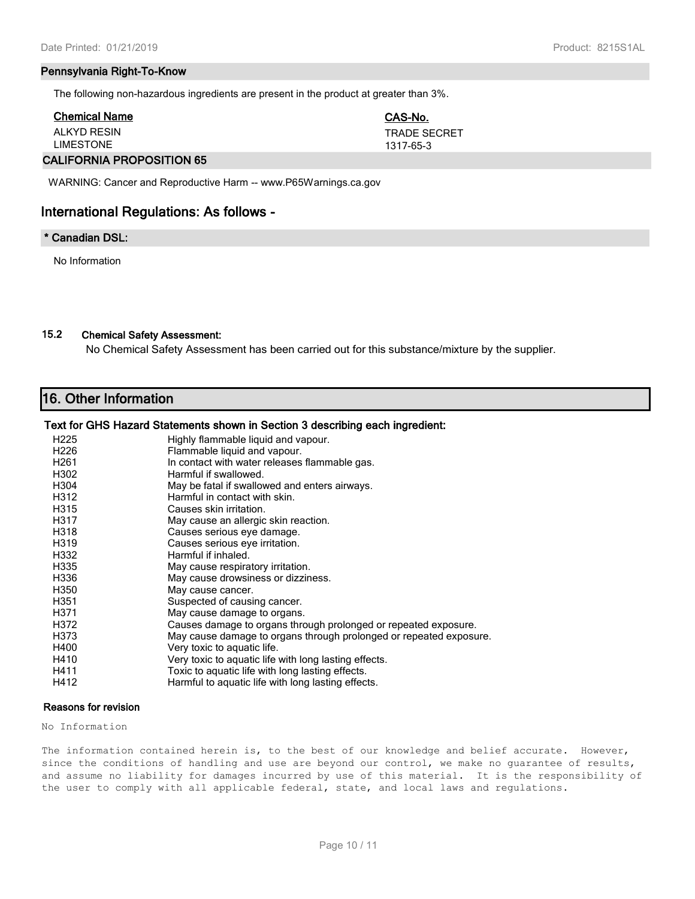#### **Pennsylvania Right-To-Know**

The following non-hazardous ingredients are present in the product at greater than 3%.

| <b>Chemical Name</b>       | CAS-No.             |
|----------------------------|---------------------|
| ALKYD RESIN                | <b>TRADE SECRET</b> |
| <b>LIMESTONE</b>           | 1317-65-3           |
| ALLIFADULLA BRABAAITIAU AF |                     |

#### **CALIFORNIA PROPOSITION 65**

WARNING: Cancer and Reproductive Harm -- www.P65Warnings.ca.gov

# **International Regulations: As follows -**

### **\* Canadian DSL:**

No Information

# **15.2 Chemical Safety Assessment:**

No Chemical Safety Assessment has been carried out for this substance/mixture by the supplier.

# **16. Other Information**

#### **Text for GHS Hazard Statements shown in Section 3 describing each ingredient:**

| H <sub>225</sub> | Highly flammable liquid and vapour.                                |
|------------------|--------------------------------------------------------------------|
| H <sub>226</sub> | Flammable liquid and vapour.                                       |
| H <sub>261</sub> | In contact with water releases flammable gas.                      |
| H302             | Harmful if swallowed.                                              |
| H304             | May be fatal if swallowed and enters airways.                      |
| H312             | Harmful in contact with skin.                                      |
| H315             | Causes skin irritation.                                            |
| H317             | May cause an allergic skin reaction.                               |
| H318             | Causes serious eye damage.                                         |
| H319             | Causes serious eye irritation.                                     |
| H332             | Harmful if inhaled.                                                |
| H335             | May cause respiratory irritation.                                  |
| H336             | May cause drowsiness or dizziness.                                 |
| H350             | May cause cancer.                                                  |
| H351             | Suspected of causing cancer.                                       |
| H371             | May cause damage to organs.                                        |
| H372             | Causes damage to organs through prolonged or repeated exposure.    |
| H373             | May cause damage to organs through prolonged or repeated exposure. |
| H400             | Very toxic to aquatic life.                                        |
| H410             | Very toxic to aquatic life with long lasting effects.              |
| H411             | Toxic to aquatic life with long lasting effects.                   |
| H412             | Harmful to aquatic life with long lasting effects.                 |

#### **Reasons for revision**

No Information

The information contained herein is, to the best of our knowledge and belief accurate. However, since the conditions of handling and use are beyond our control, we make no guarantee of results, and assume no liability for damages incurred by use of this material. It is the responsibility of the user to comply with all applicable federal, state, and local laws and regulations.